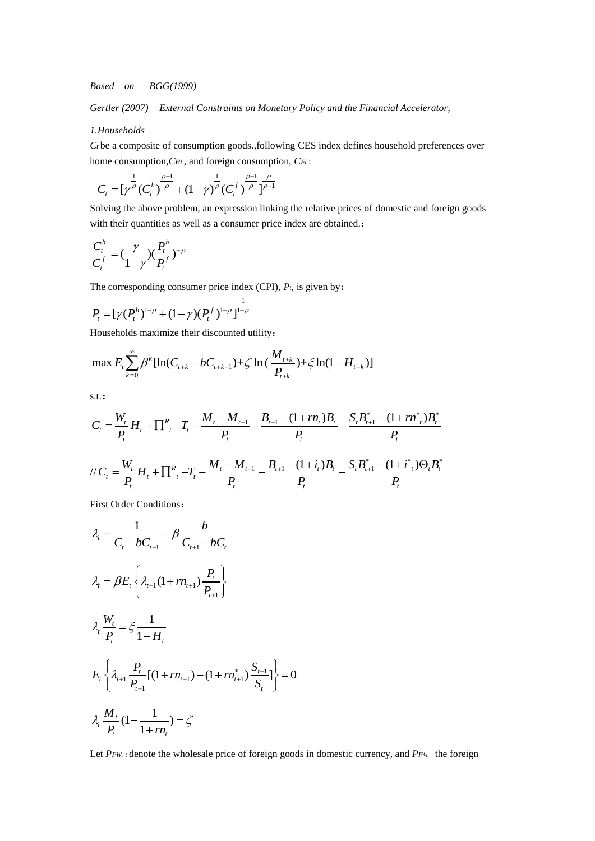*Based on BGG(1999)* 

*Gertler (2007) External Constraints on Monetary Policy and the Financial Accelerator,*

## *1.Households*

*Ct* be a composite of consumption goods.,following CES index defines household preferences over home consumption, *CHt*, and foreign consumption, *CFt*:<br> $\frac{1}{\sqrt{2}}$   $\frac{\rho-1}{\sqrt{2}}$   $\frac{\rho}{\sqrt{2}}$ 

$$
C_{t} = [\gamma^{\frac{1}{\rho}}(C_{t}^{h})^{\frac{\rho-1}{\rho}} + (1-\gamma)^{\frac{1}{\rho}}(C_{t}^{f})^{\frac{\rho-1}{\rho}}]_{\rho-1}^{\frac{\rho}{\rho-1}}
$$

Solving the above problem, an expression linking the relative prices of domestic and foreign goods with their quantities as well as a consumer price index are obtained.:

$$
\frac{C_t^h}{C_t^f} = \left(\frac{\gamma}{1-\gamma}\right)\left(\frac{P_t^h}{P_t^f}\right)^{-\rho}
$$

The corresponding consumer price index (CPI), *Pt*, is given by:

$$
P_t = [\gamma (P_t^h)^{1-\rho} + (1-\gamma)(P_t^f)^{1-\rho}]^{\frac{1}{1-\rho}}
$$

Households maximize their discounted utility:  
\n
$$
\max E_t \sum_{k=0}^{\infty} \beta^k [\ln(C_{t+k} - bC_{t+k-1}) + \zeta \ln(\frac{M_{t+k}}{P_{t+k}}) + \zeta \ln(1 - H_{t+k})]
$$

s.t.:

s.t.:  
\n
$$
C_{t} = \frac{W_{t}}{P_{t}} H_{t} + \prod_{i}^{R} T_{t} - T_{t} - \frac{M_{t} - M_{t-1}}{P_{t}} - \frac{B_{t+1} - (1 + rn_{t})B_{t}}{P_{t}} - \frac{S_{t}B_{t+1}^{*} - (1 + rn_{t}^{*})B_{t}^{*}}{P_{t}}
$$
\n
$$
d/C_{t} = \frac{W_{t}}{P_{t}} H_{t} + \prod_{i}^{R} T_{t} - T_{t} - \frac{M_{t} - M_{t-1}}{P_{t}} - \frac{B_{t+1} - (1 + i_{t})B_{t}}{P_{t}} - \frac{S_{t}B_{t+1}^{*} - (1 + i_{t}^{*})\Theta_{t}B_{t}^{*}}{P_{t}}
$$

First Order Conditions:

$$
\lambda_{t} = \frac{1}{C_{t} - bC_{t-1}} - \beta \frac{b}{C_{t+1} - bC_{t}}
$$
\n
$$
\lambda_{t} = \beta E_{t} \left\{ \lambda_{t+1} (1 + rn_{t+1}) \frac{P_{t}}{P_{t+1}} \right\}
$$
\n
$$
\lambda_{t} \frac{W_{t}}{P_{t}} = \xi \frac{1}{1 - H_{t}}
$$
\n
$$
E_{t} \left\{ \lambda_{t+1} \frac{P_{t}}{P_{t+1}} [(1 + rn_{t+1}) - (1 + rn_{t+1}) \frac{S_{t+1}}{S_{t}}] \right\} = 0
$$
\n
$$
\lambda_{t} \frac{M_{t}}{P_{t}} (1 - \frac{1}{1 + rn_{t}}) = \zeta
$$

Let *PFW*,*<sup>t</sup>*denote the wholesale price of foreign goods in domestic currency, and *PF*∗*<sup>t</sup>* the foreign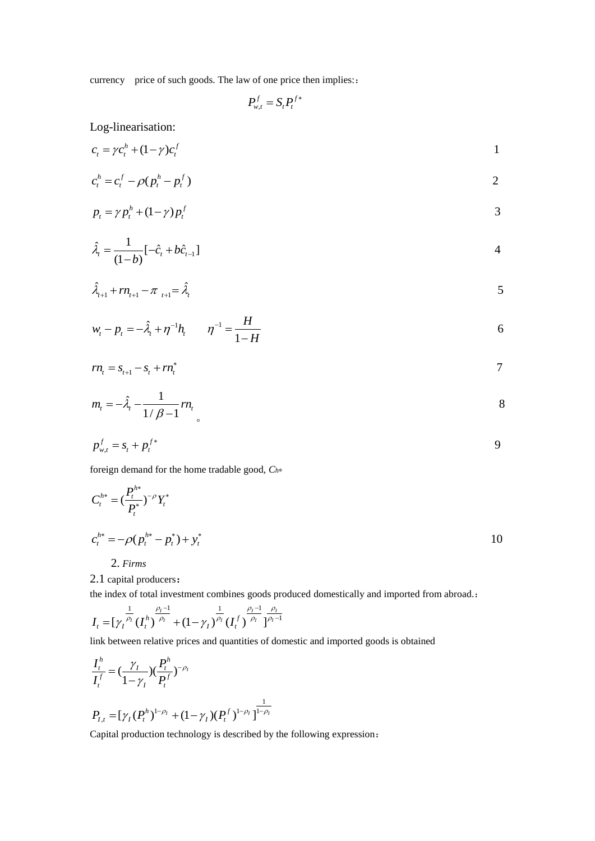currency price of such goods. The law of one price then implies:

$$
P_{w,t}^f = S_t P_t^{f*}
$$

Log-linearisation:

$$
c_t = \gamma c_t^h + (1 - \gamma)c_t^f \tag{1}
$$

$$
c_t^h = c_t^f - \rho (p_t^h - p_t^f) \tag{2}
$$

$$
p_t = \gamma p_t^h + (1 - \gamma) p_t^f \tag{3}
$$

$$
\hat{\lambda}_{t} = \frac{1}{(1-b)}[-\hat{c}_{t} + b\hat{c}_{t-1}]
$$

$$
\hat{\lambda}_{t+1} + rn_{t+1} - \pi_{t+1} = \hat{\lambda}_t
$$

$$
w_t - p_t = -\hat{\lambda}_t + \eta^{-1} h_t \qquad \eta^{-1} = \frac{H}{1 - H}
$$

$$
rn_t = s_{t+1} - s_t + rn_t^*
$$

$$
m_t = -\hat{\lambda}_t - \frac{1}{1/\beta - 1}rn_t
$$

$$
p_{w,t}^f = s_t + p_t^{f*}
$$

foreign demand for the home tradable good, *Ch*<sup>∗</sup>

$$
C_t^{h*} = \left(\frac{P_t^{h*}}{P_t^*}\right)^{-\rho} Y_t^*
$$
  
\n
$$
c_t^{h*} = -\rho (p_t^{h*} - p_t^*) + y_t^*
$$
  
\n2. *Firms*

2.1 capital producers:

the index of total investment combines goods produced domestically and imported from abroad.:<br>  $\frac{1}{\sqrt{2}} \frac{\rho_I - 1}{\rho_I} = \frac{1}{\sqrt{2}} \frac{\rho_I}{\rho_I}$ 

$$
I_{t}=[\gamma_{t}^{\frac{1}{\rho_{t}}}(I_{t}^{h})^{\frac{\rho_{t}-1}{\rho_{t}}}+(1-\gamma_{t})^{\frac{1}{\rho_{t}}}(I_{t}^{f})^{\frac{\rho_{t}-1}{\rho_{t}}}]^{\frac{\rho_{t}}{\rho_{t}-1}}
$$

link between relative prices and quantities of domestic and imported goods is obtained

$$
\frac{I_t^h}{I_t^f} = \left(\frac{\gamma_I}{1 - \gamma_I}\right) \left(\frac{P_t^h}{P_t^f}\right)^{-\rho_I}
$$
\n
$$
P_{I,t} = \left[\gamma_I (P_t^h)^{1 - \rho_I} + (1 - \gamma_I)(P_t^f)^{1 - \rho_I}\right]^{\frac{1}{1 - \rho_I}}
$$

Capital production technology is described by the following expression: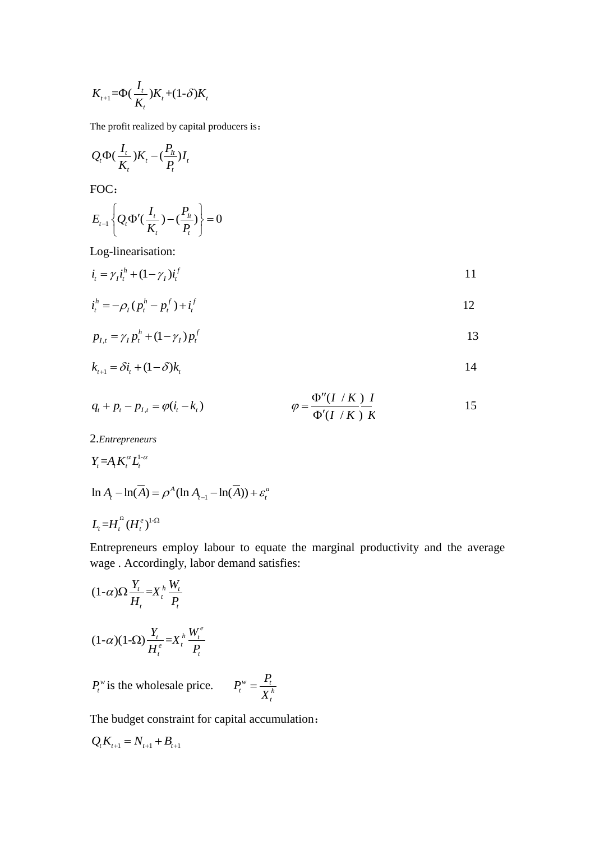$$
K_{t+1} = \Phi\left(\frac{I_t}{K_t}\right)K_t + (1-\delta)K_t
$$

The profit realized by capital producers is:

$$
Q_{t}\Phi(\frac{I_{t}}{K_{t}})K_{t}-(\frac{P_{h}}{P_{t}})I_{t}
$$

FOC:

$$
E_{t-1}\left\{Q_t\Phi'(\frac{I_t}{K_t})-(\frac{P_h}{P_t})\right\}=0
$$

Log-linearisation:

$$
\dot{i}_t = \gamma_t \dot{i}_t^h + (1 - \gamma_t) \dot{i}_t^f \tag{11}
$$

$$
i_t^h = -\rho_I (p_t^h - p_t^f) + i_t^f
$$

$$
p_{I,t} = \gamma_I p_t^h + (1 - \gamma_I) p_t^f
$$

$$
k_{t+1} = \delta i_t + (1 - \delta) k_t
$$

$$
q_{t} + p_{t} - p_{I,t} = \varphi(i_{t} - k_{t}) \qquad \qquad \varphi = \frac{\Phi''(I/K)}{\Phi'(I/K)} \frac{I}{K}
$$

2.*Entrepreneurs*

$$
Y_t = A_t K_t^{\alpha} L_t^{1-\alpha}
$$
  
ln A<sub>t</sub> - ln( $\overline{A}$ ) =  $\rho^A$ (ln A<sub>t-1</sub> - ln( $\overline{A}$ )) +  $\varepsilon_t^a$ 

$$
L_t\text{=}H_t^{\Omega}(H_t^e)^{1\text{-}\Omega}
$$

Entrepreneurs employ labour to equate the marginal productivity and the average wage . Accordingly, labor demand satisfies:

$$
(1-\alpha)\Omega \frac{Y_t}{H_t} = X_t^h \frac{W_t}{P_t}
$$

$$
(1-\alpha)(1-\Omega) \frac{Y_t}{H_t^e} = X_t^h \frac{W_t^e}{P_t}
$$

$$
P_t^w
$$
 is the wholesale price.  $P_t^w = \frac{P_t}{X_t^h}$ 

The budget constraint for capital accumulation:

$$
Q_t K_{t+1} = N_{t+1} + B_{t+1}
$$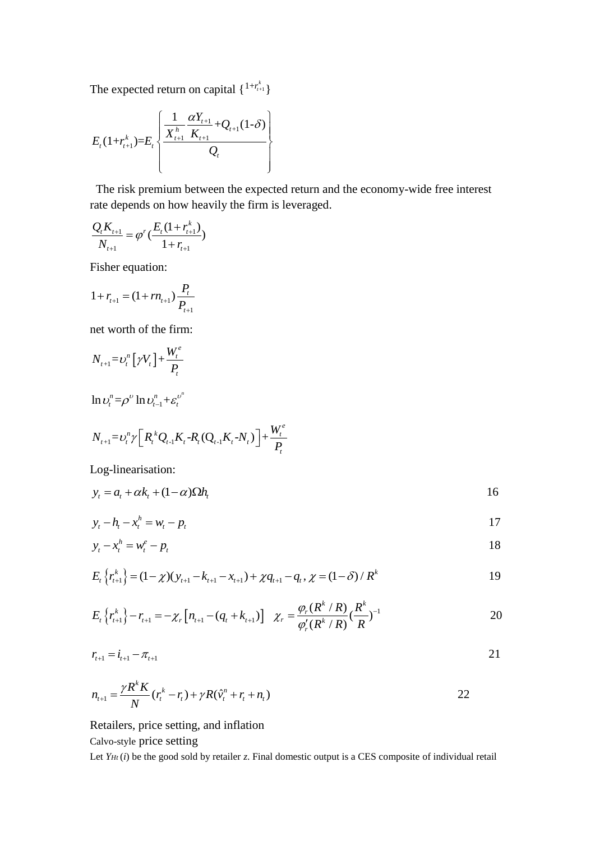The expected return on capital  $\{1 + r_{t+1}^k\}$ 

$$
E_{t}(1+r_{t+1}^{k})=E_{t}\left\{\frac{\frac{1}{X_{t+1}^{h}}\frac{\alpha Y_{t+1}}{K_{t+1}}+Q_{t+1}(1-\delta)}{Q_{t}}\right\}
$$

The risk premium between the expected return and the economy-wide free interest rate depends on how heavily the firm is leveraged.

$$
\frac{Q_t K_{t+1}}{N_{t+1}} = \varphi^r \left( \frac{E_t (1 + r_{t+1}^k)}{1 + r_{t+1}} \right)
$$

Fisher equation:

$$
1 + r_{t+1} = (1 + rn_{t+1}) \frac{P_t}{P_{t+1}}
$$

net worth of the firm:

$$
N_{t+1} = U_t^n \left[ \gamma V_t \right] + \frac{W_t^e}{P_t}
$$

$$
\ln \upsilon_t^n = \rho^\upsilon \ln \upsilon_{t-1}^n + \varepsilon_t^{\upsilon^n}
$$

$$
N_{t+1} = v_t^n \gamma \left[ R_t^k Q_{t-1} K_t - R_t (Q_{t-1} K_t - N_t) \right] + \frac{W_t^e}{P_t}
$$

Log-linearisation:

$$
y_t = a_t + \alpha k_t + (1 - \alpha) \Omega h_t
$$

$$
y_t - h_t - x_t^h = w_t - p_t \tag{17}
$$

$$
y_t - x_t^h = w_t^e - p_t \tag{18}
$$

$$
E_{t}\left\{r_{t+1}^{k}\right\} = (1-\chi)(y_{t+1} - k_{t+1} - x_{t+1}) + \chi q_{t+1} - q_{t}, \chi = (1-\delta)/R^{k}
$$

$$
E_{t}\left\{r_{t+1}^{k}\right\} - r_{t+1} = -\chi_{r}\left[n_{t+1} - (q_{t} + k_{t+1})\right] \quad \chi_{r} = \frac{\varphi_{r}(R^{k}/R)}{\varphi_{r}'(R^{k}/R)}(\frac{R^{k}}{R})^{-1}
$$

$$
r_{t+1} = i_{t+1} - \pi_{t+1} \tag{21}
$$

$$
n_{t+1} = \frac{\gamma R^k K}{N} (r_t^k - r_t) + \gamma R (\hat{v}_t^n + r_t + n_t)
$$

Retailers, price setting, and inflation

## Calvo-style price setting

Let *Y<sub>Ht</sub>* (*i*) be the good sold by retailer *z*. Final domestic output is a CES composite of individual retail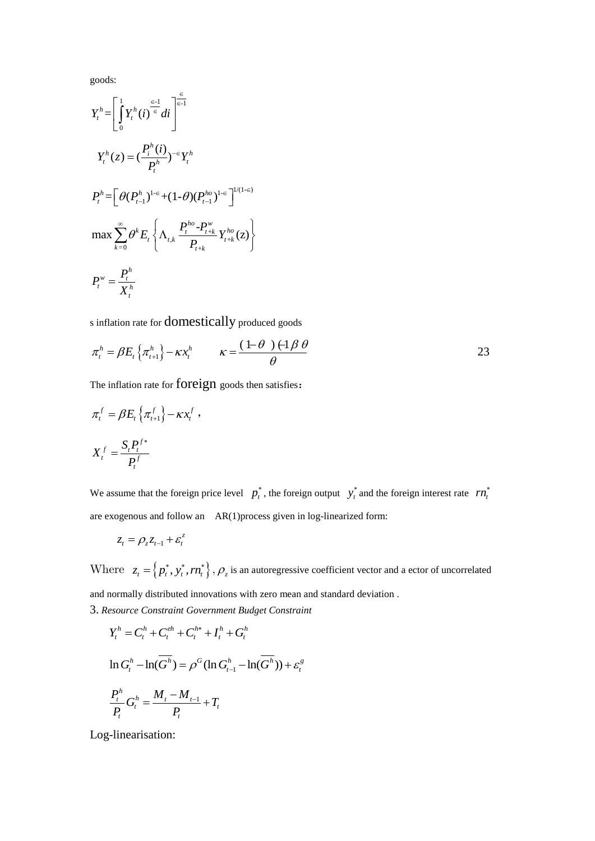goods:

$$
Y_{t}^{h} = \left[\int_{0}^{1} Y_{t}^{h}(i)^{\frac{\epsilon-1}{\epsilon}} di\right]^{\frac{\epsilon}{\epsilon-1}}
$$
  
\n
$$
Y_{t}^{h}(z) = \left(\frac{P_{t}^{h}(i)}{P_{t}^{h}}\right)^{-\epsilon} Y_{t}^{h}
$$
  
\n
$$
P_{t}^{h} = \left[\theta(P_{t-1}^{h})^{1-\epsilon} + (1-\theta)(P_{t-1}^{ho})^{1-\epsilon}\right]^{1/(1-\epsilon)}
$$
  
\n
$$
\max \sum_{k=0}^{\infty} \theta^{k} E_{t} \left\{\Lambda_{t,k} \frac{P_{t}^{ho} - P_{t+k}^{w}}{P_{t+k}} Y_{t+k}^{ho}(z)\right\}
$$
  
\n
$$
P_{t}^{w} = \frac{P_{t}^{h}}{X_{t}^{h}}
$$

s inflation rate for domestically produced goods

$$
\pi_t^h = \beta E_t \left\{ \pi_{t+1}^h \right\} - \kappa x_t^h \qquad \kappa = \frac{(1-\theta)(1-\theta)}{\theta}
$$

The inflation rate for foreign goods then satisfies:

$$
\pi_t^f = \beta E_t \left\{ \pi_{t+1}^f \right\} - \kappa x_t^f ,
$$

$$
X_t^f = \frac{S_t P_t^{f*}}{P_t^f}
$$

We assume that the foreign price level  $p_t^*$ , the foreign output  $y_t^*$  and the foreign interest rate  $rn_t^*$ are exogenous and follow an AR(1)process given in log-linearized form:

$$
z_t = \rho_z z_{t-1} + \varepsilon_t^z
$$

Where  $z_t = \{p_t^*, y_t^*, rn_t^*\}, \rho_z$  is an autoregressive coefficient vector and a ector of uncorrelated

and normally distributed innovations with zero mean and standard deviation . 3. *Resource Constraint Government Budget Constraint*

$$
Y_t^h = C_t^h + C_t^{eh} + C_t^{h*} + I_t^h + G_t^h
$$
  
\n
$$
\ln G_t^h - \ln(\overline{G^h}) = \rho^G (\ln G_{t-1}^h - \ln(\overline{G^h})) + \varepsilon_t^g
$$
  
\n
$$
\frac{P_t^h}{P_t} G_t^h = \frac{M_t - M_{t-1}}{P_t} + T_t
$$

Log-linearisation: